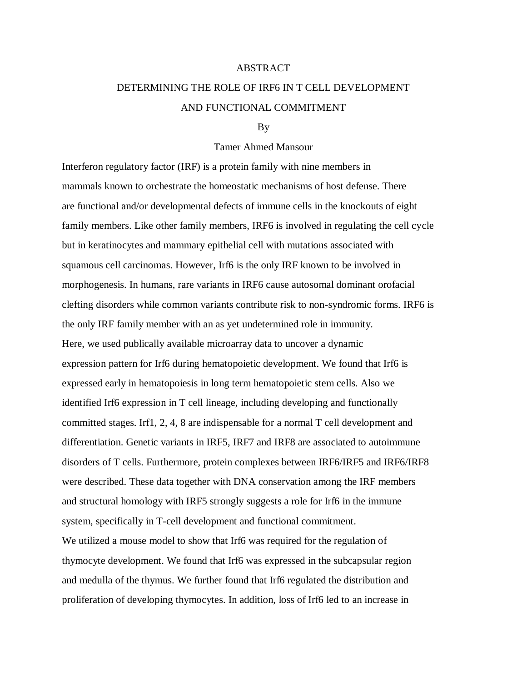## ABSTRACT

## DETERMINING THE ROLE OF IRF6 IN T CELL DEVELOPMENT AND FUNCTIONAL COMMITMENT

## By

## Tamer Ahmed Mansour

Interferon regulatory factor (IRF) is a protein family with nine members in mammals known to orchestrate the homeostatic mechanisms of host defense. There are functional and/or developmental defects of immune cells in the knockouts of eight family members. Like other family members, IRF6 is involved in regulating the cell cycle but in keratinocytes and mammary epithelial cell with mutations associated with squamous cell carcinomas. However, Irf6 is the only IRF known to be involved in morphogenesis. In humans, rare variants in IRF6 cause autosomal dominant orofacial clefting disorders while common variants contribute risk to non-syndromic forms. IRF6 is the only IRF family member with an as yet undetermined role in immunity. Here, we used publically available microarray data to uncover a dynamic expression pattern for Irf6 during hematopoietic development. We found that Irf6 is expressed early in hematopoiesis in long term hematopoietic stem cells. Also we identified Irf6 expression in T cell lineage, including developing and functionally committed stages. Irf1, 2, 4, 8 are indispensable for a normal T cell development and differentiation. Genetic variants in IRF5, IRF7 and IRF8 are associated to autoimmune disorders of T cells. Furthermore, protein complexes between IRF6/IRF5 and IRF6/IRF8 were described. These data together with DNA conservation among the IRF members and structural homology with IRF5 strongly suggests a role for Irf6 in the immune system, specifically in T-cell development and functional commitment. We utilized a mouse model to show that Irf6 was required for the regulation of

thymocyte development. We found that Irf6 was expressed in the subcapsular region and medulla of the thymus. We further found that Irf6 regulated the distribution and proliferation of developing thymocytes. In addition, loss of Irf6 led to an increase in